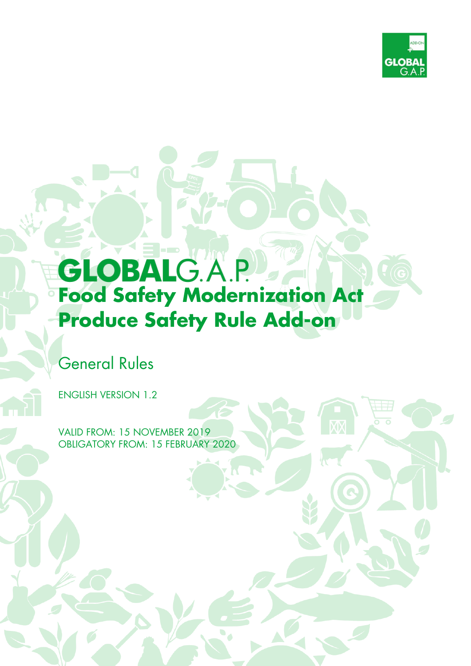

# **GLOBALG.A.P. Food Safety Modernization Act Produce Safety Rule Add-on**

## General Rules

ENGLISH VERSION 1.2

VALID FROM: 15 NOVEMBER 2019 OBLIGATORY FROM: 15 FEBRUARY 2020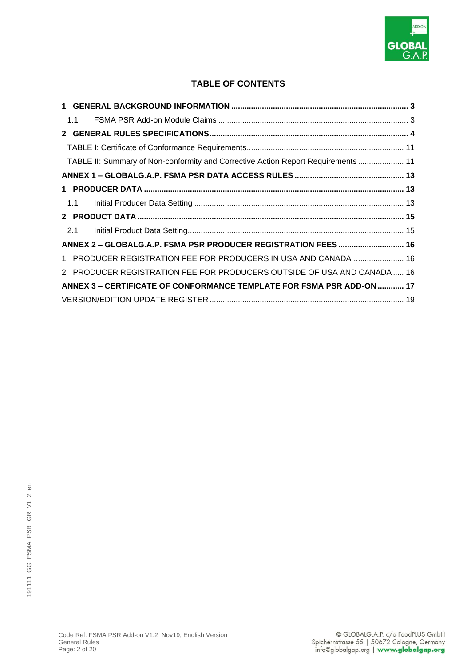

#### **TABLE OF CONTENTS**

| 1.1                                                                               |  |
|-----------------------------------------------------------------------------------|--|
|                                                                                   |  |
|                                                                                   |  |
| TABLE II: Summary of Non-conformity and Corrective Action Report Requirements  11 |  |
|                                                                                   |  |
|                                                                                   |  |
|                                                                                   |  |
|                                                                                   |  |
| 2.1                                                                               |  |
| ANNEX 2 - GLOBALG.A.P. FSMA PSR PRODUCER REGISTRATION FEES  16                    |  |
| 1 PRODUCER REGISTRATION FEE FOR PRODUCERS IN USA AND CANADA  16                   |  |
| 2 PRODUCER REGISTRATION FEE FOR PRODUCERS OUTSIDE OF USA AND CANADA 16            |  |
| ANNEX 3 - CERTIFICATE OF CONFORMANCE TEMPLATE FOR FSMA PSR ADD-ON  17             |  |
|                                                                                   |  |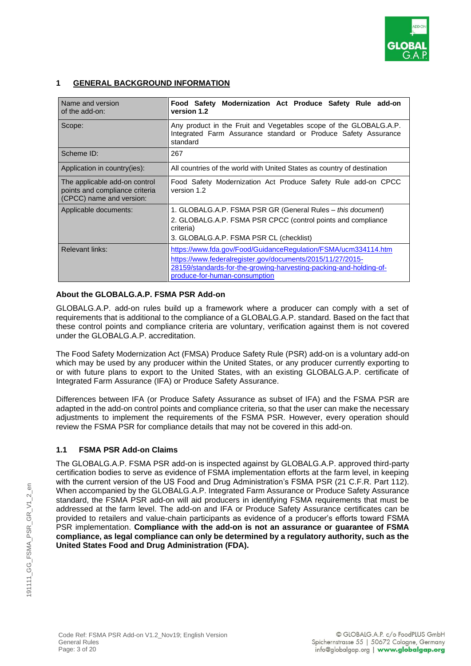

#### **1 GENERAL BACKGROUND INFORMATION**

| Name and version<br>of the add-on:                                                          | Food Safety Modernization Act Produce Safety Rule add-on<br>version 1.2                                                                                                                                                             |  |
|---------------------------------------------------------------------------------------------|-------------------------------------------------------------------------------------------------------------------------------------------------------------------------------------------------------------------------------------|--|
| Scope:                                                                                      | Any product in the Fruit and Vegetables scope of the GLOBALG.A.P.<br>Integrated Farm Assurance standard or Produce Safety Assurance<br>standard                                                                                     |  |
| Scheme ID:                                                                                  | 267                                                                                                                                                                                                                                 |  |
| Application in country(ies):                                                                | All countries of the world with United States as country of destination                                                                                                                                                             |  |
| The applicable add-on control<br>points and compliance criteria<br>(CPCC) name and version: | Food Safety Modernization Act Produce Safety Rule add-on CPCC<br>version 1.2                                                                                                                                                        |  |
| Applicable documents:                                                                       | 1. GLOBALG.A.P. FSMA PSR GR (General Rules - this document)<br>2. GLOBALG.A.P. FSMA PSR CPCC (control points and compliance<br>criteria)<br>3. GLOBALG.A.P. FSMA PSR CL (checklist)                                                 |  |
| Relevant links:                                                                             | https://www.fda.gov/Food/GuidanceRegulation/FSMA/ucm334114.htm<br>https://www.federalregister.gov/documents/2015/11/27/2015-<br>28159/standards-for-the-growing-harvesting-packing-and-holding-of-<br>produce-for-human-consumption |  |

#### **About the GLOBALG.A.P. FSMA PSR Add-on**

GLOBALG.A.P. add-on rules build up a framework where a producer can comply with a set of requirements that is additional to the compliance of a GLOBALG.A.P. standard. Based on the fact that these control points and compliance criteria are voluntary, verification against them is not covered under the GLOBALG.A.P. accreditation.

The Food Safety Modernization Act (FMSA) Produce Safety Rule (PSR) add-on is a voluntary add-on which may be used by any producer within the United States, or any producer currently exporting to or with future plans to export to the United States, with an existing GLOBALG.A.P. certificate of Integrated Farm Assurance (IFA) or Produce Safety Assurance.

Differences between IFA (or Produce Safety Assurance as subset of IFA) and the FSMA PSR are adapted in the add-on control points and compliance criteria, so that the user can make the necessary adjustments to implement the requirements of the FSMA PSR. However, every operation should review the FSMA PSR for compliance details that may not be covered in this add-on.

#### **1.1 FSMA PSR Add-on Claims**

The GLOBALG.A.P. FSMA PSR add-on is inspected against by GLOBALG.A.P. approved third-party certification bodies to serve as evidence of FSMA implementation efforts at the farm level, in keeping with the current version of the US Food and Drug Administration's FSMA PSR (21 C.F.R. Part 112). When accompanied by the GLOBALG.A.P. Integrated Farm Assurance or Produce Safety Assurance standard, the FSMA PSR add-on will aid producers in identifying FSMA requirements that must be addressed at the farm level. The add-on and IFA or Produce Safety Assurance certificates can be provided to retailers and value-chain participants as evidence of a producer's efforts toward FSMA PSR implementation. **Compliance with the add-on is not an assurance or guarantee of FSMA compliance, as legal compliance can only be determined by a regulatory authority, such as the United States Food and Drug Administration (FDA).**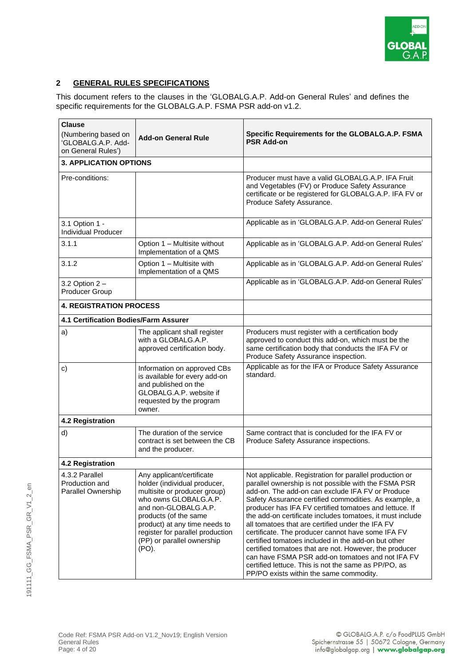

#### **2 GENERAL RULES SPECIFICATIONS**

This document refers to the clauses in the 'GLOBALG.A.P. Add-on General Rules' and defines the specific requirements for the GLOBALG.A.P. FSMA PSR add-on v1.2.

| <b>Clause</b><br>(Numbering based on<br>'GLOBALG.A.P. Add-<br>on General Rules') | <b>Add-on General Rule</b>                                                                                                                                                                                                                                                      | Specific Requirements for the GLOBALG.A.P. FSMA<br><b>PSR Add-on</b>                                                                                                                                                                                                                                                                                                                                                                                                                                                                                                                                                                                                                                                                 |
|----------------------------------------------------------------------------------|---------------------------------------------------------------------------------------------------------------------------------------------------------------------------------------------------------------------------------------------------------------------------------|--------------------------------------------------------------------------------------------------------------------------------------------------------------------------------------------------------------------------------------------------------------------------------------------------------------------------------------------------------------------------------------------------------------------------------------------------------------------------------------------------------------------------------------------------------------------------------------------------------------------------------------------------------------------------------------------------------------------------------------|
| <b>3. APPLICATION OPTIONS</b>                                                    |                                                                                                                                                                                                                                                                                 |                                                                                                                                                                                                                                                                                                                                                                                                                                                                                                                                                                                                                                                                                                                                      |
| Pre-conditions:                                                                  |                                                                                                                                                                                                                                                                                 | Producer must have a valid GLOBALG.A.P. IFA Fruit<br>and Vegetables (FV) or Produce Safety Assurance<br>certificate or be registered for GLOBALG.A.P. IFA FV or<br>Produce Safety Assurance.                                                                                                                                                                                                                                                                                                                                                                                                                                                                                                                                         |
| 3.1 Option 1 -<br><b>Individual Producer</b>                                     |                                                                                                                                                                                                                                                                                 | Applicable as in 'GLOBALG.A.P. Add-on General Rules'                                                                                                                                                                                                                                                                                                                                                                                                                                                                                                                                                                                                                                                                                 |
| 3.1.1                                                                            | Option 1 - Multisite without<br>Implementation of a QMS                                                                                                                                                                                                                         | Applicable as in 'GLOBALG.A.P. Add-on General Rules'                                                                                                                                                                                                                                                                                                                                                                                                                                                                                                                                                                                                                                                                                 |
| 3.1.2                                                                            | Option 1 - Multisite with<br>Implementation of a QMS                                                                                                                                                                                                                            | Applicable as in 'GLOBALG.A.P. Add-on General Rules'                                                                                                                                                                                                                                                                                                                                                                                                                                                                                                                                                                                                                                                                                 |
| 3.2 Option $2 -$<br>Producer Group                                               |                                                                                                                                                                                                                                                                                 | Applicable as in 'GLOBALG.A.P. Add-on General Rules'                                                                                                                                                                                                                                                                                                                                                                                                                                                                                                                                                                                                                                                                                 |
| <b>4. REGISTRATION PROCESS</b>                                                   |                                                                                                                                                                                                                                                                                 |                                                                                                                                                                                                                                                                                                                                                                                                                                                                                                                                                                                                                                                                                                                                      |
| 4.1 Certification Bodies/Farm Assurer                                            |                                                                                                                                                                                                                                                                                 |                                                                                                                                                                                                                                                                                                                                                                                                                                                                                                                                                                                                                                                                                                                                      |
| a)                                                                               | The applicant shall register<br>with a GLOBALG.A.P.<br>approved certification body.                                                                                                                                                                                             | Producers must register with a certification body<br>approved to conduct this add-on, which must be the<br>same certification body that conducts the IFA FV or<br>Produce Safety Assurance inspection.                                                                                                                                                                                                                                                                                                                                                                                                                                                                                                                               |
| c)                                                                               | Information on approved CBs<br>is available for every add-on<br>and published on the<br>GLOBALG.A.P. website if<br>requested by the program<br>owner.                                                                                                                           | Applicable as for the IFA or Produce Safety Assurance<br>standard.                                                                                                                                                                                                                                                                                                                                                                                                                                                                                                                                                                                                                                                                   |
| 4.2 Registration                                                                 |                                                                                                                                                                                                                                                                                 |                                                                                                                                                                                                                                                                                                                                                                                                                                                                                                                                                                                                                                                                                                                                      |
| d)                                                                               | The duration of the service<br>contract is set between the CB<br>and the producer.                                                                                                                                                                                              | Same contract that is concluded for the IFA FV or<br>Produce Safety Assurance inspections.                                                                                                                                                                                                                                                                                                                                                                                                                                                                                                                                                                                                                                           |
| 4.2 Registration                                                                 |                                                                                                                                                                                                                                                                                 |                                                                                                                                                                                                                                                                                                                                                                                                                                                                                                                                                                                                                                                                                                                                      |
| 4.3.2 Parallel<br>Production and<br><b>Parallel Ownership</b>                    | Any applicant/certificate<br>holder (individual producer,<br>multisite or producer group)<br>who owns GLOBALG.A.P.<br>and non-GLOBALG.A.P.<br>products (of the same<br>product) at any time needs to<br>register for parallel production<br>(PP) or parallel ownership<br>(PO). | Not applicable. Registration for parallel production or<br>parallel ownership is not possible with the FSMA PSR<br>add-on. The add-on can exclude IFA FV or Produce<br>Safety Assurance certified commodities. As example, a<br>producer has IFA FV certified tomatoes and lettuce. If<br>the add-on certificate includes tomatoes, it must include<br>all tomatoes that are certified under the IFA FV<br>certificate. The producer cannot have some IFA FV<br>certified tomatoes included in the add-on but other<br>certified tomatoes that are not. However, the producer<br>can have FSMA PSR add-on tomatoes and not IFA FV<br>certified lettuce. This is not the same as PP/PO, as<br>PP/PO exists within the same commodity. |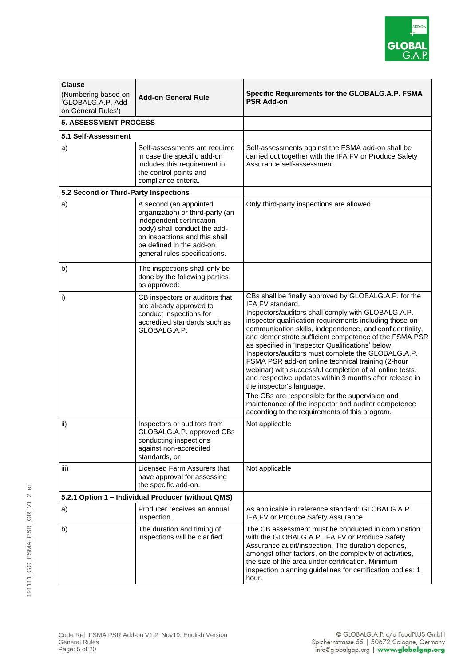

| <b>Clause</b><br>(Numbering based on<br>'GLOBALG.A.P. Add-<br>on General Rules') | <b>Add-on General Rule</b>                                                                                                                                                                                            | Specific Requirements for the GLOBALG.A.P. FSMA<br><b>PSR Add-on</b>                                                                                                                                                                                                                                                                                                                                                                                                                                                                                                                                                                                                                                                                                                                            |
|----------------------------------------------------------------------------------|-----------------------------------------------------------------------------------------------------------------------------------------------------------------------------------------------------------------------|-------------------------------------------------------------------------------------------------------------------------------------------------------------------------------------------------------------------------------------------------------------------------------------------------------------------------------------------------------------------------------------------------------------------------------------------------------------------------------------------------------------------------------------------------------------------------------------------------------------------------------------------------------------------------------------------------------------------------------------------------------------------------------------------------|
| <b>5. ASSESSMENT PROCESS</b>                                                     |                                                                                                                                                                                                                       |                                                                                                                                                                                                                                                                                                                                                                                                                                                                                                                                                                                                                                                                                                                                                                                                 |
| 5.1 Self-Assessment                                                              |                                                                                                                                                                                                                       |                                                                                                                                                                                                                                                                                                                                                                                                                                                                                                                                                                                                                                                                                                                                                                                                 |
| a)                                                                               | Self-assessments are required<br>in case the specific add-on<br>includes this requirement in<br>the control points and<br>compliance criteria.                                                                        | Self-assessments against the FSMA add-on shall be<br>carried out together with the IFA FV or Produce Safety<br>Assurance self-assessment.                                                                                                                                                                                                                                                                                                                                                                                                                                                                                                                                                                                                                                                       |
| 5.2 Second or Third-Party Inspections                                            |                                                                                                                                                                                                                       |                                                                                                                                                                                                                                                                                                                                                                                                                                                                                                                                                                                                                                                                                                                                                                                                 |
| a)                                                                               | A second (an appointed<br>organization) or third-party (an<br>independent certification<br>body) shall conduct the add-<br>on inspections and this shall<br>be defined in the add-on<br>general rules specifications. | Only third-party inspections are allowed.                                                                                                                                                                                                                                                                                                                                                                                                                                                                                                                                                                                                                                                                                                                                                       |
| b)                                                                               | The inspections shall only be<br>done by the following parties<br>as approved:                                                                                                                                        |                                                                                                                                                                                                                                                                                                                                                                                                                                                                                                                                                                                                                                                                                                                                                                                                 |
| i)                                                                               | CB inspectors or auditors that<br>are already approved to<br>conduct inspections for<br>accredited standards such as<br>GLOBALG.A.P.                                                                                  | CBs shall be finally approved by GLOBALG.A.P. for the<br>IFA FV standard.<br>Inspectors/auditors shall comply with GLOBALG.A.P.<br>inspector qualification requirements including those on<br>communication skills, independence, and confidentiality,<br>and demonstrate sufficient competence of the FSMA PSR<br>as specified in 'Inspector Qualifications' below.<br>Inspectors/auditors must complete the GLOBALG.A.P.<br>FSMA PSR add-on online technical training (2-hour<br>webinar) with successful completion of all online tests,<br>and respective updates within 3 months after release in<br>the inspector's language.<br>The CBs are responsible for the supervision and<br>maintenance of the inspector and auditor competence<br>according to the requirements of this program. |
| ii)                                                                              | Inspectors or auditors from<br>GLOBALG.A.P. approved CBs<br>conducting inspections<br>against non-accredited<br>standards, or                                                                                         | Not applicable                                                                                                                                                                                                                                                                                                                                                                                                                                                                                                                                                                                                                                                                                                                                                                                  |
| iii)                                                                             | Licensed Farm Assurers that<br>have approval for assessing<br>the specific add-on.                                                                                                                                    | Not applicable                                                                                                                                                                                                                                                                                                                                                                                                                                                                                                                                                                                                                                                                                                                                                                                  |
| 5.2.1 Option 1 - Individual Producer (without QMS)                               |                                                                                                                                                                                                                       |                                                                                                                                                                                                                                                                                                                                                                                                                                                                                                                                                                                                                                                                                                                                                                                                 |
| a)                                                                               | Producer receives an annual<br>inspection.                                                                                                                                                                            | As applicable in reference standard: GLOBALG.A.P.<br>IFA FV or Produce Safety Assurance                                                                                                                                                                                                                                                                                                                                                                                                                                                                                                                                                                                                                                                                                                         |
| b)                                                                               | The duration and timing of<br>inspections will be clarified.                                                                                                                                                          | The CB assessment must be conducted in combination<br>with the GLOBALG.A.P. IFA FV or Produce Safety<br>Assurance audit/inspection. The duration depends,<br>amongst other factors, on the complexity of activities,<br>the size of the area under certification. Minimum<br>inspection planning guidelines for certification bodies: 1<br>hour.                                                                                                                                                                                                                                                                                                                                                                                                                                                |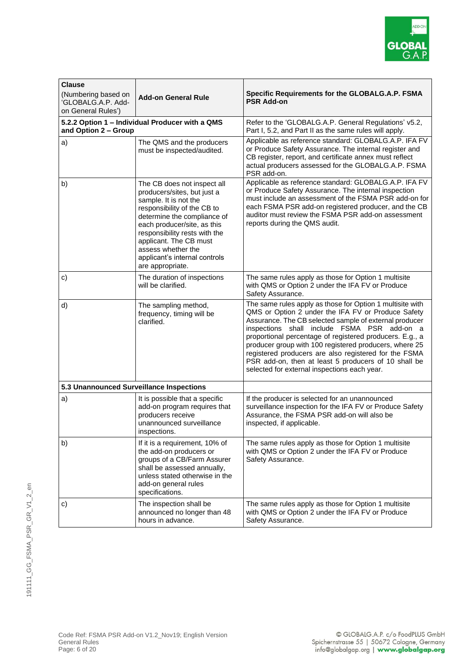

| <b>Clause</b>                             |                                                                                                                                                                                                                                                                                                                        |                                                                                                                                                                                                                                                                                                                                                                                                                                                                                                                 |
|-------------------------------------------|------------------------------------------------------------------------------------------------------------------------------------------------------------------------------------------------------------------------------------------------------------------------------------------------------------------------|-----------------------------------------------------------------------------------------------------------------------------------------------------------------------------------------------------------------------------------------------------------------------------------------------------------------------------------------------------------------------------------------------------------------------------------------------------------------------------------------------------------------|
| (Numbering based on<br>'GLOBALG.A.P. Add- | <b>Add-on General Rule</b>                                                                                                                                                                                                                                                                                             | <b>Specific Requirements for the GLOBALG.A.P. FSMA</b><br><b>PSR Add-on</b>                                                                                                                                                                                                                                                                                                                                                                                                                                     |
| on General Rules')                        |                                                                                                                                                                                                                                                                                                                        |                                                                                                                                                                                                                                                                                                                                                                                                                                                                                                                 |
| and Option 2 - Group                      | 5.2.2 Option 1 - Individual Producer with a QMS                                                                                                                                                                                                                                                                        | Refer to the 'GLOBALG.A.P. General Regulations' v5.2,<br>Part I, 5.2, and Part II as the same rules will apply.                                                                                                                                                                                                                                                                                                                                                                                                 |
| a)                                        | The QMS and the producers<br>must be inspected/audited.                                                                                                                                                                                                                                                                | Applicable as reference standard: GLOBALG.A.P. IFA FV<br>or Produce Safety Assurance. The internal register and<br>CB register, report, and certificate annex must reflect<br>actual producers assessed for the GLOBALG.A.P. FSMA<br>PSR add-on.                                                                                                                                                                                                                                                                |
| b)                                        | The CB does not inspect all<br>producers/sites, but just a<br>sample. It is not the<br>responsibility of the CB to<br>determine the compliance of<br>each producer/site, as this<br>responsibility rests with the<br>applicant. The CB must<br>assess whether the<br>applicant's internal controls<br>are appropriate. | Applicable as reference standard: GLOBALG.A.P. IFA FV<br>or Produce Safety Assurance. The internal inspection<br>must include an assessment of the FSMA PSR add-on for<br>each FSMA PSR add-on registered producer, and the CB<br>auditor must review the FSMA PSR add-on assessment<br>reports during the QMS audit.                                                                                                                                                                                           |
| c)                                        | The duration of inspections<br>will be clarified.                                                                                                                                                                                                                                                                      | The same rules apply as those for Option 1 multisite<br>with QMS or Option 2 under the IFA FV or Produce<br>Safety Assurance.                                                                                                                                                                                                                                                                                                                                                                                   |
| d)                                        | The sampling method,<br>frequency, timing will be<br>clarified.                                                                                                                                                                                                                                                        | The same rules apply as those for Option 1 multisite with<br>QMS or Option 2 under the IFA FV or Produce Safety<br>Assurance. The CB selected sample of external producer<br>inspections shall include FSMA PSR add-on a<br>proportional percentage of registered producers. E.g., a<br>producer group with 100 registered producers, where 25<br>registered producers are also registered for the FSMA<br>PSR add-on, then at least 5 producers of 10 shall be<br>selected for external inspections each year. |
| 5.3 Unannounced Surveillance Inspections  |                                                                                                                                                                                                                                                                                                                        |                                                                                                                                                                                                                                                                                                                                                                                                                                                                                                                 |
| a)                                        | It is possible that a specific<br>add-on program requires that<br>producers receive<br>unannounced surveillance<br>inspections.                                                                                                                                                                                        | If the producer is selected for an unannounced<br>surveillance inspection for the IFA FV or Produce Safety<br>Assurance, the FSMA PSR add-on will also be<br>inspected, if applicable.                                                                                                                                                                                                                                                                                                                          |
| b)                                        | If it is a requirement, 10% of<br>the add-on producers or<br>groups of a CB/Farm Assurer<br>shall be assessed annually,<br>unless stated otherwise in the<br>add-on general rules<br>specifications.                                                                                                                   | The same rules apply as those for Option 1 multisite<br>with QMS or Option 2 under the IFA FV or Produce<br>Safety Assurance.                                                                                                                                                                                                                                                                                                                                                                                   |
| c)                                        | The inspection shall be<br>announced no longer than 48<br>hours in advance.                                                                                                                                                                                                                                            | The same rules apply as those for Option 1 multisite<br>with QMS or Option 2 under the IFA FV or Produce<br>Safety Assurance.                                                                                                                                                                                                                                                                                                                                                                                   |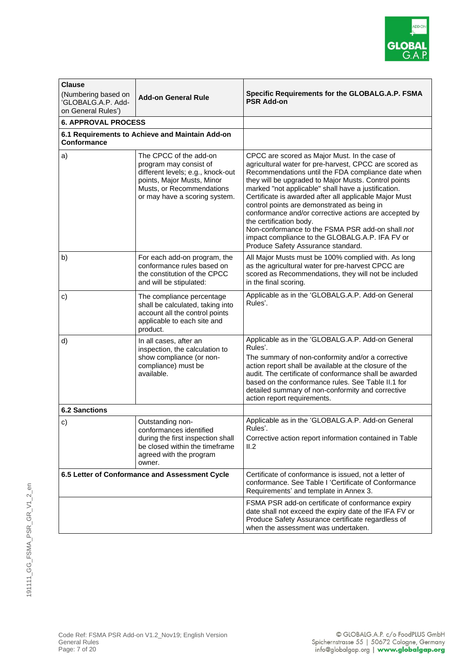

| <b>Clause</b><br>(Numbering based on<br>GLOBALG.A.P. Add-<br>on General Rules') | <b>Add-on General Rule</b>                                                                                                                                                        | Specific Requirements for the GLOBALG.A.P. FSMA<br><b>PSR Add-on</b>                                                                                                                                                                                                                                                                                                                                                                                                                                                                                                                                                   |
|---------------------------------------------------------------------------------|-----------------------------------------------------------------------------------------------------------------------------------------------------------------------------------|------------------------------------------------------------------------------------------------------------------------------------------------------------------------------------------------------------------------------------------------------------------------------------------------------------------------------------------------------------------------------------------------------------------------------------------------------------------------------------------------------------------------------------------------------------------------------------------------------------------------|
| <b>6. APPROVAL PROCESS</b>                                                      |                                                                                                                                                                                   |                                                                                                                                                                                                                                                                                                                                                                                                                                                                                                                                                                                                                        |
| Conformance                                                                     | 6.1 Requirements to Achieve and Maintain Add-on                                                                                                                                   |                                                                                                                                                                                                                                                                                                                                                                                                                                                                                                                                                                                                                        |
| a)                                                                              | The CPCC of the add-on<br>program may consist of<br>different levels; e.g., knock-out<br>points, Major Musts, Minor<br>Musts, or Recommendations<br>or may have a scoring system. | CPCC are scored as Major Must. In the case of<br>agricultural water for pre-harvest, CPCC are scored as<br>Recommendations until the FDA compliance date when<br>they will be upgraded to Major Musts. Control points<br>marked "not applicable" shall have a justification.<br>Certificate is awarded after all applicable Major Must<br>control points are demonstrated as being in<br>conformance and/or corrective actions are accepted by<br>the certification body.<br>Non-conformance to the FSMA PSR add-on shall not<br>impact compliance to the GLOBALG.A.P. IFA FV or<br>Produce Safety Assurance standard. |
| b)                                                                              | For each add-on program, the<br>conformance rules based on<br>the constitution of the CPCC<br>and will be stipulated:                                                             | All Major Musts must be 100% complied with. As long<br>as the agricultural water for pre-harvest CPCC are<br>scored as Recommendations, they will not be included<br>in the final scoring.                                                                                                                                                                                                                                                                                                                                                                                                                             |
| c)                                                                              | The compliance percentage<br>shall be calculated, taking into<br>account all the control points<br>applicable to each site and<br>product.                                        | Applicable as in the 'GLOBALG.A.P. Add-on General<br>Rules'.                                                                                                                                                                                                                                                                                                                                                                                                                                                                                                                                                           |
| d)                                                                              | In all cases, after an<br>inspection, the calculation to<br>show compliance (or non-<br>compliance) must be<br>available.                                                         | Applicable as in the 'GLOBALG.A.P. Add-on General<br>Rules'.<br>The summary of non-conformity and/or a corrective<br>action report shall be available at the closure of the<br>audit. The certificate of conformance shall be awarded<br>based on the conformance rules. See Table II.1 for<br>detailed summary of non-conformity and corrective<br>action report requirements.                                                                                                                                                                                                                                        |
| <b>6.2 Sanctions</b>                                                            |                                                                                                                                                                                   |                                                                                                                                                                                                                                                                                                                                                                                                                                                                                                                                                                                                                        |
| c)                                                                              | Outstanding non-<br>conformances identified<br>during the first inspection shall<br>be closed within the timeframe<br>agreed with the program<br>owner.                           | Applicable as in the 'GLOBALG.A.P. Add-on General<br>Rules'.<br>Corrective action report information contained in Table<br>II.2                                                                                                                                                                                                                                                                                                                                                                                                                                                                                        |
| 6.5 Letter of Conformance and Assessment Cycle                                  |                                                                                                                                                                                   | Certificate of conformance is issued, not a letter of<br>conformance. See Table I 'Certificate of Conformance<br>Requirements' and template in Annex 3.                                                                                                                                                                                                                                                                                                                                                                                                                                                                |
|                                                                                 |                                                                                                                                                                                   | FSMA PSR add-on certificate of conformance expiry<br>date shall not exceed the expiry date of the IFA FV or<br>Produce Safety Assurance certificate regardless of<br>when the assessment was undertaken.                                                                                                                                                                                                                                                                                                                                                                                                               |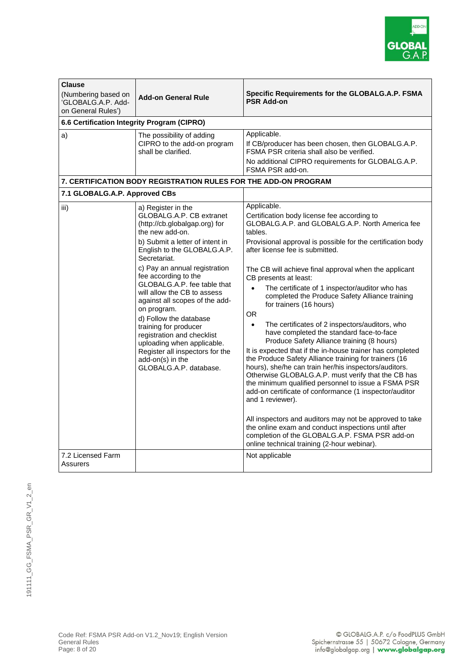

| <b>Clause</b><br>(Numbering based on<br>GLOBALG.A.P. Add-<br>on General Rules')<br>6.6 Certification Integrity Program (CIPRO) | <b>Add-on General Rule</b>                                                                                                                                                                                                                                                                                                                                                                                                                                                                                                                                   | Specific Requirements for the GLOBALG.A.P. FSMA<br><b>PSR Add-on</b>                                                                                                                                                                                                                                                                                                                                                                                                                                                                                                                                                                                                                                                                                                                                                                                                                                                                                                                                                                                                                                                                                                                            |
|--------------------------------------------------------------------------------------------------------------------------------|--------------------------------------------------------------------------------------------------------------------------------------------------------------------------------------------------------------------------------------------------------------------------------------------------------------------------------------------------------------------------------------------------------------------------------------------------------------------------------------------------------------------------------------------------------------|-------------------------------------------------------------------------------------------------------------------------------------------------------------------------------------------------------------------------------------------------------------------------------------------------------------------------------------------------------------------------------------------------------------------------------------------------------------------------------------------------------------------------------------------------------------------------------------------------------------------------------------------------------------------------------------------------------------------------------------------------------------------------------------------------------------------------------------------------------------------------------------------------------------------------------------------------------------------------------------------------------------------------------------------------------------------------------------------------------------------------------------------------------------------------------------------------|
| a)                                                                                                                             | The possibility of adding<br>CIPRO to the add-on program<br>shall be clarified.                                                                                                                                                                                                                                                                                                                                                                                                                                                                              | Applicable.<br>If CB/producer has been chosen, then GLOBALG.A.P.<br>FSMA PSR criteria shall also be verified.<br>No additional CIPRO requirements for GLOBALG.A.P.<br>FSMA PSR add-on.                                                                                                                                                                                                                                                                                                                                                                                                                                                                                                                                                                                                                                                                                                                                                                                                                                                                                                                                                                                                          |
|                                                                                                                                | <b>7. CERTIFICATION BODY REGISTRATION RULES FOR THE ADD-ON PROGRAM</b>                                                                                                                                                                                                                                                                                                                                                                                                                                                                                       |                                                                                                                                                                                                                                                                                                                                                                                                                                                                                                                                                                                                                                                                                                                                                                                                                                                                                                                                                                                                                                                                                                                                                                                                 |
| 7.1 GLOBALG.A.P. Approved CBs                                                                                                  |                                                                                                                                                                                                                                                                                                                                                                                                                                                                                                                                                              | Applicable.                                                                                                                                                                                                                                                                                                                                                                                                                                                                                                                                                                                                                                                                                                                                                                                                                                                                                                                                                                                                                                                                                                                                                                                     |
| iii)                                                                                                                           | a) Register in the<br>GLOBALG.A.P. CB extranet<br>(http://cb.globalgap.org) for<br>the new add-on.<br>b) Submit a letter of intent in<br>English to the GLOBALG.A.P.<br>Secretariat.<br>c) Pay an annual registration<br>fee according to the<br>GLOBALG.A.P. fee table that<br>will allow the CB to assess<br>against all scopes of the add-<br>on program.<br>d) Follow the database<br>training for producer<br>registration and checklist<br>uploading when applicable.<br>Register all inspectors for the<br>add-on(s) in the<br>GLOBALG.A.P. database. | Certification body license fee according to<br>GLOBALG.A.P. and GLOBALG.A.P. North America fee<br>tables.<br>Provisional approval is possible for the certification body<br>after license fee is submitted.<br>The CB will achieve final approval when the applicant<br>CB presents at least:<br>The certificate of 1 inspector/auditor who has<br>completed the Produce Safety Alliance training<br>for trainers (16 hours)<br><b>OR</b><br>The certificates of 2 inspectors/auditors, who<br>$\bullet$<br>have completed the standard face-to-face<br>Produce Safety Alliance training (8 hours)<br>It is expected that if the in-house trainer has completed<br>the Produce Safety Alliance training for trainers (16<br>hours), she/he can train her/his inspectors/auditors.<br>Otherwise GLOBALG.A.P. must verify that the CB has<br>the minimum qualified personnel to issue a FSMA PSR<br>add-on certificate of conformance (1 inspector/auditor<br>and 1 reviewer).<br>All inspectors and auditors may not be approved to take<br>the online exam and conduct inspections until after<br>completion of the GLOBALG.A.P. FSMA PSR add-on<br>online technical training (2-hour webinar). |
| 7.2 Licensed Farm<br>Assurers                                                                                                  |                                                                                                                                                                                                                                                                                                                                                                                                                                                                                                                                                              | Not applicable                                                                                                                                                                                                                                                                                                                                                                                                                                                                                                                                                                                                                                                                                                                                                                                                                                                                                                                                                                                                                                                                                                                                                                                  |

| Code Ref: FSMA PSR Add-on V1.2_Nov19; English Version |  |
|-------------------------------------------------------|--|
| <b>General Rules</b>                                  |  |
| Page: 8 of 20                                         |  |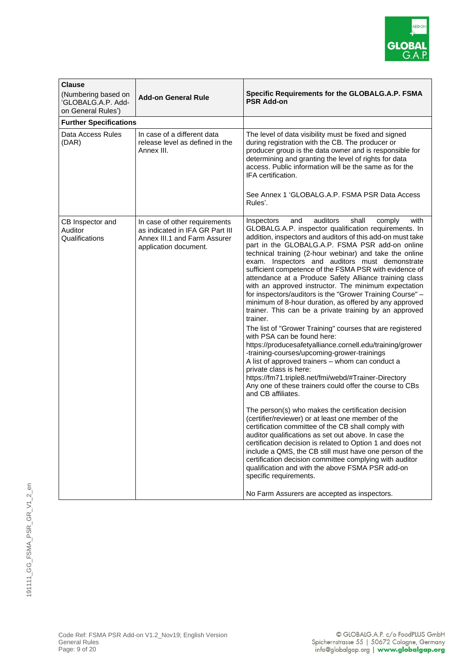

| <b>Clause</b><br>(Numbering based on<br>'GLOBALG.A.P. Add-<br>on General Rules') | <b>Add-on General Rule</b>                                                                                                | Specific Requirements for the GLOBALG.A.P. FSMA<br><b>PSR Add-on</b>                                                                                                                                                                                                                                                                                                                                                                                                                                                                                                                                                                                                                                                                                                                                                                                                                                                                                                                                                                                                                                                                                                                                                                                                                                                                                                                                                                                                                                                                                                                                                                                                                                 |
|----------------------------------------------------------------------------------|---------------------------------------------------------------------------------------------------------------------------|------------------------------------------------------------------------------------------------------------------------------------------------------------------------------------------------------------------------------------------------------------------------------------------------------------------------------------------------------------------------------------------------------------------------------------------------------------------------------------------------------------------------------------------------------------------------------------------------------------------------------------------------------------------------------------------------------------------------------------------------------------------------------------------------------------------------------------------------------------------------------------------------------------------------------------------------------------------------------------------------------------------------------------------------------------------------------------------------------------------------------------------------------------------------------------------------------------------------------------------------------------------------------------------------------------------------------------------------------------------------------------------------------------------------------------------------------------------------------------------------------------------------------------------------------------------------------------------------------------------------------------------------------------------------------------------------------|
| <b>Further Specifications</b>                                                    |                                                                                                                           |                                                                                                                                                                                                                                                                                                                                                                                                                                                                                                                                                                                                                                                                                                                                                                                                                                                                                                                                                                                                                                                                                                                                                                                                                                                                                                                                                                                                                                                                                                                                                                                                                                                                                                      |
| Data Access Rules<br>(DAR)                                                       | In case of a different data<br>release level as defined in the<br>Annex III.                                              | The level of data visibility must be fixed and signed<br>during registration with the CB. The producer or<br>producer group is the data owner and is responsible for<br>determining and granting the level of rights for data<br>access. Public information will be the same as for the<br>IFA certification.<br>See Annex 1 'GLOBALG.A.P. FSMA PSR Data Access<br>Rules'.                                                                                                                                                                                                                                                                                                                                                                                                                                                                                                                                                                                                                                                                                                                                                                                                                                                                                                                                                                                                                                                                                                                                                                                                                                                                                                                           |
| CB Inspector and<br>Auditor<br>Qualifications                                    | In case of other requirements<br>as indicated in IFA GR Part III<br>Annex III.1 and Farm Assurer<br>application document. | auditors<br>shall<br>with<br>and<br>comply<br>Inspectors<br>GLOBALG.A.P. inspector qualification requirements. In<br>addition, inspectors and auditors of this add-on must take<br>part in the GLOBALG.A.P. FSMA PSR add-on online<br>technical training (2-hour webinar) and take the online<br>exam. Inspectors and auditors must demonstrate<br>sufficient competence of the FSMA PSR with evidence of<br>attendance at a Produce Safety Alliance training class<br>with an approved instructor. The minimum expectation<br>for inspectors/auditors is the "Grower Training Course" -<br>minimum of 8-hour duration, as offered by any approved<br>trainer. This can be a private training by an approved<br>trainer.<br>The list of "Grower Training" courses that are registered<br>with PSA can be found here:<br>https://producesafetyalliance.cornell.edu/training/grower<br>-training-courses/upcoming-grower-trainings<br>A list of approved trainers - whom can conduct a<br>private class is here:<br>https://fm71.triple8.net/fmi/webd/#Trainer-Directory<br>Any one of these trainers could offer the course to CBs<br>and CB affiliates.<br>The person(s) who makes the certification decision<br>(certifier/reviewer) or at least one member of the<br>certification committee of the CB shall comply with<br>auditor qualifications as set out above. In case the<br>certification decision is related to Option 1 and does not<br>include a QMS, the CB still must have one person of the<br>certification decision committee complying with auditor<br>qualification and with the above FSMA PSR add-on<br>specific requirements.<br>No Farm Assurers are accepted as inspectors. |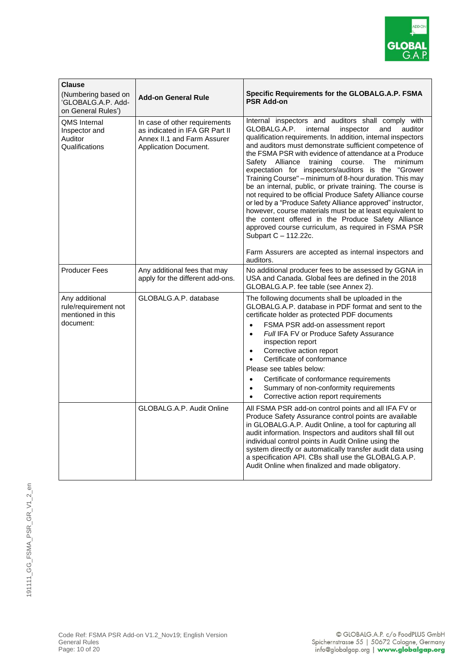

| <b>Clause</b><br>(Numbering based on<br>'GLOBALG.A.P. Add-<br>on General Rules') | <b>Add-on General Rule</b>                                                                                                     | Specific Requirements for the GLOBALG.A.P. FSMA<br><b>PSR Add-on</b>                                                                                                                                                                                                                                                                                                                                                                                                                                                                                                                                                                                                                                                                                                                                                                                                                                                                     |
|----------------------------------------------------------------------------------|--------------------------------------------------------------------------------------------------------------------------------|------------------------------------------------------------------------------------------------------------------------------------------------------------------------------------------------------------------------------------------------------------------------------------------------------------------------------------------------------------------------------------------------------------------------------------------------------------------------------------------------------------------------------------------------------------------------------------------------------------------------------------------------------------------------------------------------------------------------------------------------------------------------------------------------------------------------------------------------------------------------------------------------------------------------------------------|
| <b>QMS</b> Internal<br>Inspector and<br>Auditor<br>Qualifications                | In case of other requirements<br>as indicated in IFA GR Part II<br>Annex II.1 and Farm Assurer<br><b>Application Document.</b> | Internal inspectors and auditors shall comply with<br>GLOBALG.A.P.<br>internal<br>inspector<br>auditor<br>and<br>qualification requirements. In addition, internal inspectors<br>and auditors must demonstrate sufficient competence of<br>the FSMA PSR with evidence of attendance at a Produce<br>Alliance training<br>course. The minimum<br>Safety<br>expectation for inspectors/auditors is the "Grower<br>Training Course" - minimum of 8-hour duration. This may<br>be an internal, public, or private training. The course is<br>not required to be official Produce Safety Alliance course<br>or led by a "Produce Safety Alliance approved" instructor,<br>however, course materials must be at least equivalent to<br>the content offered in the Produce Safety Alliance<br>approved course curriculum, as required in FSMA PSR<br>Subpart C - 112.22c.<br>Farm Assurers are accepted as internal inspectors and<br>auditors. |
| <b>Producer Fees</b>                                                             | Any additional fees that may<br>apply for the different add-ons.                                                               | No additional producer fees to be assessed by GGNA in<br>USA and Canada. Global fees are defined in the 2018<br>GLOBALG.A.P. fee table (see Annex 2).                                                                                                                                                                                                                                                                                                                                                                                                                                                                                                                                                                                                                                                                                                                                                                                    |
| Any additional<br>rule/requirement not<br>mentioned in this<br>document:         | GLOBALG.A.P. database                                                                                                          | The following documents shall be uploaded in the<br>GLOBALG.A.P. database in PDF format and sent to the<br>certificate holder as protected PDF documents<br>FSMA PSR add-on assessment report<br>$\bullet$<br>Full IFA FV or Produce Safety Assurance<br>$\bullet$<br>inspection report<br>Corrective action report<br>$\bullet$<br>Certificate of conformance<br>$\bullet$<br>Please see tables below:<br>Certificate of conformance requirements<br>$\bullet$<br>Summary of non-conformity requirements<br>$\bullet$<br>Corrective action report requirements                                                                                                                                                                                                                                                                                                                                                                          |
|                                                                                  | GLOBALG.A.P. Audit Online                                                                                                      | All FSMA PSR add-on control points and all IFA FV or<br>Produce Safety Assurance control points are available<br>in GLOBALG.A.P. Audit Online, a tool for capturing all<br>audit information. Inspectors and auditors shall fill out<br>individual control points in Audit Online using the<br>system directly or automatically transfer audit data using<br>a specification API. CBs shall use the GLOBALG.A.P.<br>Audit Online when finalized and made obligatory.                                                                                                                                                                                                                                                                                                                                                                                                                                                                     |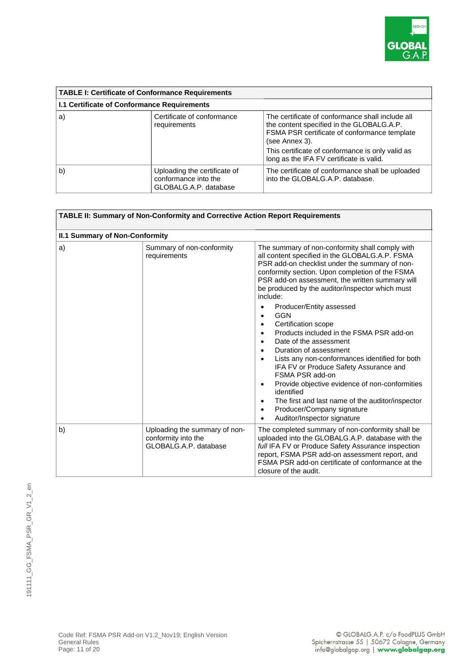

| <b>TABLE I: Certificate of Conformance Requirements</b> |                                                                               |                                                                                                                                                                                                                                                                 |
|---------------------------------------------------------|-------------------------------------------------------------------------------|-----------------------------------------------------------------------------------------------------------------------------------------------------------------------------------------------------------------------------------------------------------------|
| <b>I.1 Certificate of Conformance Requirements</b>      |                                                                               |                                                                                                                                                                                                                                                                 |
| a)                                                      | Certificate of conformance<br>requirements                                    | The certificate of conformance shall include all<br>the content specified in the GLOBALG.A.P.<br>FSMA PSR certificate of conformance template<br>(see Annex 3).<br>This certificate of conformance is only valid as<br>long as the IFA FV certificate is valid. |
| b)                                                      | Uploading the certificate of<br>conformance into the<br>GLOBALG.A.P. database | The certificate of conformance shall be uploaded<br>into the GLOBALG.A.P. database.                                                                                                                                                                             |

| TABLE II: Summary of Non-Conformity and Corrective Action Report Requirements |                                                                               |                                                                                                                                                                                                                                                                                                                                                                                                                                                                                                                                                                                                                                                                                                                                                                                                                                                                                           |  |  |
|-------------------------------------------------------------------------------|-------------------------------------------------------------------------------|-------------------------------------------------------------------------------------------------------------------------------------------------------------------------------------------------------------------------------------------------------------------------------------------------------------------------------------------------------------------------------------------------------------------------------------------------------------------------------------------------------------------------------------------------------------------------------------------------------------------------------------------------------------------------------------------------------------------------------------------------------------------------------------------------------------------------------------------------------------------------------------------|--|--|
|                                                                               | <b>II.1 Summary of Non-Conformity</b>                                         |                                                                                                                                                                                                                                                                                                                                                                                                                                                                                                                                                                                                                                                                                                                                                                                                                                                                                           |  |  |
| a)                                                                            | Summary of non-conformity<br>requirements                                     | The summary of non-conformity shall comply with<br>all content specified in the GLOBALG.A.P. FSMA<br>PSR add-on checklist under the summary of non-<br>conformity section. Upon completion of the FSMA<br>PSR add-on assessment, the written summary will<br>be produced by the auditor/inspector which must<br>include:<br>Producer/Entity assessed<br>$\bullet$<br><b>GGN</b><br>Certification scope<br>$\bullet$<br>Products included in the FSMA PSR add-on<br>$\bullet$<br>Date of the assessment<br>$\bullet$<br>Duration of assessment<br>Lists any non-conformances identified for both<br>IFA FV or Produce Safety Assurance and<br>FSMA PSR add-on<br>Provide objective evidence of non-conformities<br>$\bullet$<br>identified<br>The first and last name of the auditor/inspector<br>$\bullet$<br>Producer/Company signature<br>$\bullet$<br>Auditor/Inspector signature<br>٠ |  |  |
| b)                                                                            | Uploading the summary of non-<br>conformity into the<br>GLOBALG.A.P. database | The completed summary of non-conformity shall be<br>uploaded into the GLOBALG.A.P. database with the<br>full IFA FV or Produce Safety Assurance inspection<br>report, FSMA PSR add-on assessment report, and<br>FSMA PSR add-on certificate of conformance at the<br>closure of the audit.                                                                                                                                                                                                                                                                                                                                                                                                                                                                                                                                                                                                |  |  |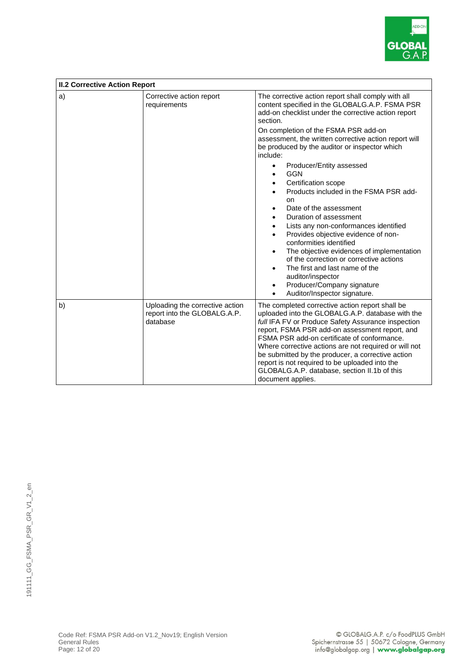

| <b>II.2 Corrective Action Report</b> |                                                                             |                                                                                                                                                                                                                                                                                                                                                                                                                                                                                                                                                                                                                                                                                                                                                                                                                                                                                                                                                                                   |
|--------------------------------------|-----------------------------------------------------------------------------|-----------------------------------------------------------------------------------------------------------------------------------------------------------------------------------------------------------------------------------------------------------------------------------------------------------------------------------------------------------------------------------------------------------------------------------------------------------------------------------------------------------------------------------------------------------------------------------------------------------------------------------------------------------------------------------------------------------------------------------------------------------------------------------------------------------------------------------------------------------------------------------------------------------------------------------------------------------------------------------|
| a)                                   | Corrective action report<br>requirements                                    | The corrective action report shall comply with all<br>content specified in the GLOBALG.A.P. FSMA PSR<br>add-on checklist under the corrective action report<br>section.<br>On completion of the FSMA PSR add-on<br>assessment, the written corrective action report will<br>be produced by the auditor or inspector which<br>include:<br>Producer/Entity assessed<br>$\bullet$<br><b>GGN</b><br>$\bullet$<br>Certification scope<br>$\bullet$<br>Products included in the FSMA PSR add-<br>$\bullet$<br>on<br>Date of the assessment<br>$\bullet$<br>Duration of assessment<br>$\bullet$<br>Lists any non-conformances identified<br>$\bullet$<br>Provides objective evidence of non-<br>$\bullet$<br>conformities identified<br>The objective evidences of implementation<br>$\bullet$<br>of the correction or corrective actions<br>The first and last name of the<br>$\bullet$<br>auditor/inspector<br>Producer/Company signature<br>$\bullet$<br>Auditor/Inspector signature. |
| b)                                   | Uploading the corrective action<br>report into the GLOBALG.A.P.<br>database | $\bullet$<br>The completed corrective action report shall be<br>uploaded into the GLOBALG.A.P. database with the<br>full IFA FV or Produce Safety Assurance inspection<br>report, FSMA PSR add-on assessment report, and<br>FSMA PSR add-on certificate of conformance.<br>Where corrective actions are not required or will not<br>be submitted by the producer, a corrective action<br>report is not required to be uploaded into the<br>GLOBALG.A.P. database, section II.1b of this<br>document applies.                                                                                                                                                                                                                                                                                                                                                                                                                                                                      |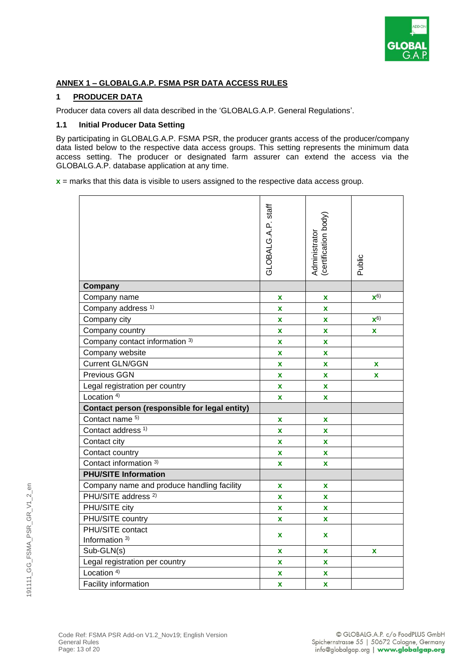

#### **ANNEX 1 – GLOBALG.A.P. FSMA PSR DATA ACCESS RULES**

#### **1 PRODUCER DATA**

Producer data covers all data described in the 'GLOBALG.A.P. General Regulations'.

#### **1.1 Initial Producer Data Setting**

By participating in GLOBALG.A.P. FSMA PSR, the producer grants access of the producer/company data listed below to the respective data access groups. This setting represents the minimum data access setting. The producer or designated farm assurer can extend the access via the GLOBALG.A.P. database application at any time.

**x** = marks that this data is visible to users assigned to the respective data access group.

|                                               | GLOBALG.A.P. staff        | (certification body)<br>Administrator | Public             |
|-----------------------------------------------|---------------------------|---------------------------------------|--------------------|
| Company                                       |                           |                                       |                    |
| Company name                                  | x                         | X                                     | $\mathbf{X}^{(6)}$ |
| Company address <sup>1)</sup>                 | $\mathbf x$               | X                                     |                    |
| Company city                                  | $\mathbf x$               | X                                     | ${\bf x}^{6)}$     |
| Company country                               | $\mathbf x$               | X                                     | $\mathbf{x}$       |
| Company contact information 3)                | $\mathbf x$               | $\mathbf x$                           |                    |
| Company website                               | $\mathbf x$               | $\mathbf x$                           |                    |
| <b>Current GLN/GGN</b>                        | $\mathbf x$               | x                                     | X                  |
| Previous GGN                                  | $\mathbf x$               | $\mathbf x$                           | $\mathbf x$        |
| Legal registration per country                | $\mathbf x$               | X                                     |                    |
| Location <sup>4)</sup>                        | $\boldsymbol{\mathsf{X}}$ | X                                     |                    |
| Contact person (responsible for legal entity) |                           |                                       |                    |
| Contact name 5)                               | $\mathbf x$               | $\mathbf x$                           |                    |
| Contact address <sup>1)</sup>                 | X                         | X                                     |                    |
| Contact city                                  | X                         | X                                     |                    |
| Contact country                               | $\mathbf x$               | $\mathbf{x}$                          |                    |
| Contact information <sup>3)</sup>             | X                         | X                                     |                    |
| <b>PHU/SITE Information</b>                   |                           |                                       |                    |
| Company name and produce handling facility    | X                         | X                                     |                    |
| PHU/SITE address <sup>2)</sup>                | $\mathbf x$               | $\mathbf x$                           |                    |
| PHU/SITE city                                 | $\mathbf x$               | $\mathbf{x}$                          |                    |
| PHU/SITE country                              | X                         | X                                     |                    |
| PHU/SITE contact                              | X                         | X                                     |                    |
| Information <sup>3)</sup>                     |                           |                                       |                    |
| Sub-GLN(s)                                    | X                         | X                                     | X                  |
| Legal registration per country                | X                         | x                                     |                    |
| Location <sup>4)</sup>                        | X                         | x                                     |                    |
| Facility information                          | X                         | $\mathbf x$                           |                    |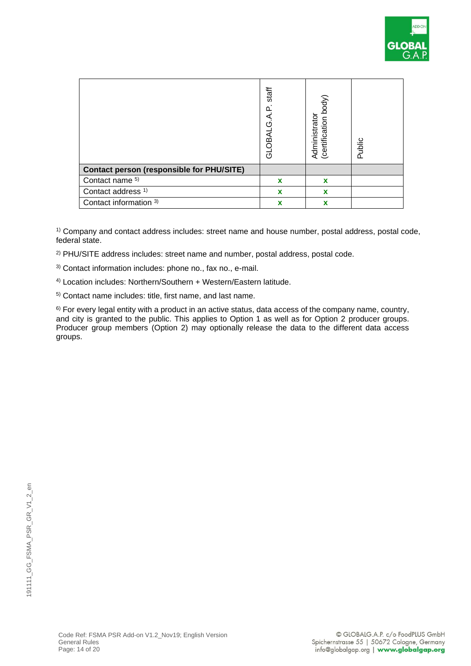

|                                                  | staff<br>GLOBALG.A.P | Administrator<br>(certification body) | Public |
|--------------------------------------------------|----------------------|---------------------------------------|--------|
| <b>Contact person (responsible for PHU/SITE)</b> |                      |                                       |        |
| Contact name <sup>5)</sup>                       | X                    | $\mathbf x$                           |        |
| Contact address <sup>1)</sup>                    | x                    | X                                     |        |
| Contact information 3)                           | x                    | x                                     |        |

<sup>1)</sup> Company and contact address includes: street name and house number, postal address, postal code, federal state.

2) PHU/SITE address includes: street name and number, postal address, postal code.

3) Contact information includes: phone no., fax no., e-mail.

4) Location includes: Northern/Southern + Western/Eastern latitude.

5) Contact name includes: title, first name, and last name.

6) For every legal entity with a product in an active status, data access of the company name, country, and city is granted to the public. This applies to Option 1 as well as for Option 2 producer groups. Producer group members (Option 2) may optionally release the data to the different data access groups.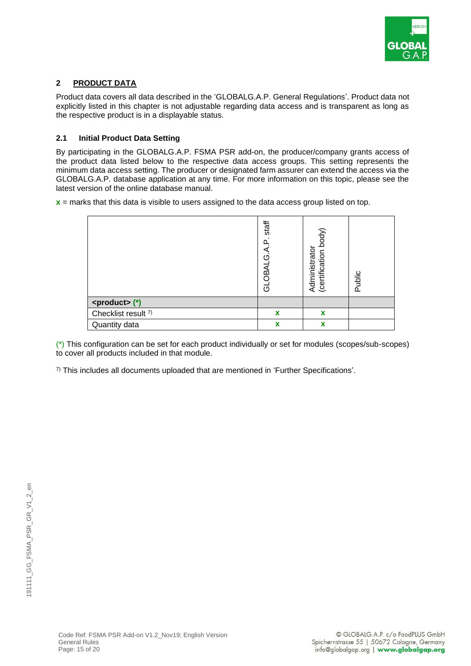

#### **2 PRODUCT DATA**

Product data covers all data described in the 'GLOBALG.A.P. General Regulations'. Product data not explicitly listed in this chapter is not adjustable regarding data access and is transparent as long as the respective product is in a displayable status.

#### **2.1 Initial Product Data Setting**

By participating in the GLOBALG.A.P. FSMA PSR add-on, the producer/company grants access of the product data listed below to the respective data access groups. This setting represents the minimum data access setting. The producer or designated farm assurer can extend the access via the GLOBALG.A.P. database application at any time. For more information on this topic, please see the latest version of the online database manual.

**x** = marks that this data is visible to users assigned to the data access group listed on top.

|                        | staff<br>$\Omega$<br>ۊ<br><b>DBAL</b><br>ಕ | body)<br>Administrator<br>(certification b | Public |
|------------------------|--------------------------------------------|--------------------------------------------|--------|
| <product>(*)</product> |                                            |                                            |        |
| Checklist result 7)    | $\boldsymbol{\mathsf{x}}$                  | X                                          |        |
| Quantity data          | X                                          | X                                          |        |

(\*) This configuration can be set for each product individually or set for modules (scopes/sub-scopes) to cover all products included in that module.

 $7$ ) This includes all documents uploaded that are mentioned in 'Further Specifications'.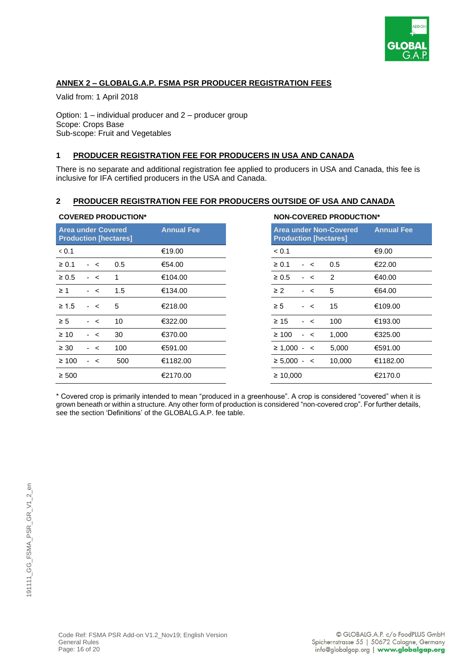

#### **ANNEX 2 – GLOBALG.A.P. FSMA PSR PRODUCER REGISTRATION FEES**

Valid from: 1 April 2018

Option: 1 – individual producer and 2 – producer group Scope: Crops Base Sub-scope: Fruit and Vegetables

#### **1 PRODUCER REGISTRATION FEE FOR PRODUCERS IN USA AND CANADA**

There is no separate and additional registration fee applied to producers in USA and Canada, this fee is inclusive for IFA certified producers in the USA and Canada.

#### **2 PRODUCER REGISTRATION FEE FOR PRODUCERS OUTSIDE OF USA AND CANADA**

| <b>Area under Covered</b><br><b>Production [hectares]</b> |     | <b>Annual Fee</b> | <b>Production [hectares]</b> |      | <b>Area under Non-Covered</b> |  |
|-----------------------------------------------------------|-----|-------------------|------------------------------|------|-------------------------------|--|
|                                                           |     | €19.00            | < 0.1                        |      |                               |  |
| $-<$                                                      | 0.5 | €54.00            | $\geq 0.1$                   | $-<$ | 0.5                           |  |
| $-<$                                                      | 1   | €104.00           | $\geq 0.5$                   | $-<$ | $\overline{2}$                |  |
| $-<$                                                      | 1.5 | €134.00           | $\geq$ 2                     | $-<$ | 5                             |  |
| $\geq 1.5$<br>$-<$                                        | 5   | €218.00           | $\geq 5$                     | $-<$ | 15                            |  |
| $-<$                                                      | 10  | €322.00           | $\geq 15$                    | $-<$ | 100                           |  |
| $\geq 10$<br>$-<$                                         | 30  | €370.00           | $\geq 100$                   | $-<$ | 1,000                         |  |
| $\geq 30$<br>$-<$                                         | 100 | €591.00           | $\geq 1,000 - 5$             |      | 5,000                         |  |
| $\geq 100$<br>$-<$                                        | 500 | €1182.00          | $\geq 5,000 - c$             |      | 10,000                        |  |
| $\geq 500$                                                |     | €2170.00          | $\geq 10,000$                |      |                               |  |

#### **COVERED PRODUCTION\* NON-COVERED PRODUCTION\***

| <b>Annual Fee</b> | <b>Production [hectares]</b> |      |         | <b>Area under Non-Covered</b> | <b>Annual Fee</b> |
|-------------------|------------------------------|------|---------|-------------------------------|-------------------|
| €19.00            | < 0.1                        |      |         |                               | €9.00             |
| €54.00            | $\geq 0.1$                   | $-<$ |         | 0.5                           | €22.00            |
| €104.00           | $\geq 0.5$                   |      | $\prec$ | 2                             | €40.00            |
| €134.00           | $\geq$ 2                     |      | $\prec$ | 5                             | €64.00            |
| €218.00           | $\geq 5$                     | $-<$ |         | 15                            | €109.00           |
| €322.00           | $\geq 15$                    | $-<$ |         | 100                           | €193.00           |
| €370.00           | $\geq 100$                   | $-<$ |         | 1,000                         | €325.00           |
| €591.00           | $\geq$ 1,000 - <             |      |         | 5,000                         | €591.00           |
| €1182.00          | $\geq 5,000 - c$             |      |         | 10,000                        | €1182.00          |
| €2170.00          | $\geq 10,000$                |      |         |                               | €2170.0           |

\* Covered crop is primarily intended to mean "produced in a greenhouse". A crop is considered "covered" when it is grown beneath or within a structure. Any other form of production is considered "non-covered crop". For further details, see the section 'Definitions' of the GLOBALG.A.P. fee table.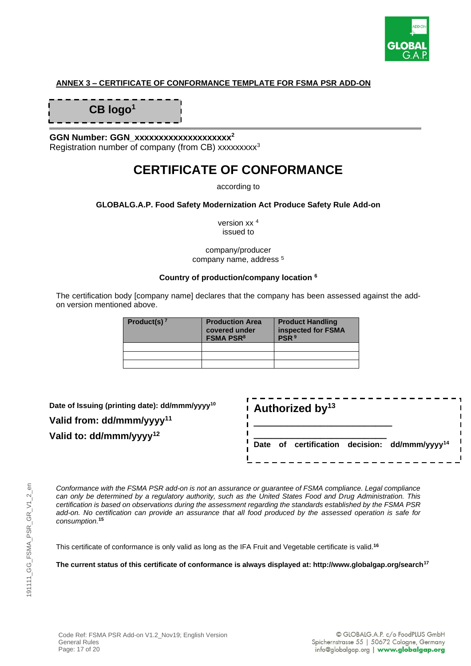

#### **ANNEX 3 – CERTIFICATE OF CONFORMANCE TEMPLATE FOR FSMA PSR ADD-ON**

**CB logo<sup>1</sup>**

**GGN Number: GGN\_xxxxxxxxxxxxxxxxxxxx<sup>2</sup>** Registration number of company (from CB) xxxxxxxx<sup>3</sup>

### **CERTIFICATE OF CONFORMANCE**

according to

#### **GLOBALG.A.P. Food Safety Modernization Act Produce Safety Rule Add-on**

version xx <sup>4</sup> issued to

company/producer company name, address <sup>5</sup>

#### **Country of production/company location <sup>6</sup>**

The certification body [company name] declares that the company has been assessed against the addon version mentioned above.

| Product(s) $7$ | <b>Production Area</b><br>covered under<br><b>FSMA PSR<sup>8</sup></b> | <b>Product Handling</b><br>inspected for FSMA<br>PSR <sup>9</sup> |
|----------------|------------------------------------------------------------------------|-------------------------------------------------------------------|
|                |                                                                        |                                                                   |
|                |                                                                        |                                                                   |
|                |                                                                        |                                                                   |

| Date of Issuing (printing date): dd/mmm/yyyy <sup>10</sup> |
|------------------------------------------------------------|
| Valid from: dd/mmm/yyyy <sup>11</sup>                      |
| Valid to: $dd/mmm/yyy^{12}$                                |

|  | $\frac{1}{2}$ Authorized by <sup>13</sup> |                                                           |  |
|--|-------------------------------------------|-----------------------------------------------------------|--|
|  |                                           | Date of certification decision: dd/mmm/yyyy <sup>14</sup> |  |

*Conformance with the FSMA PSR add-on is not an assurance or guarantee of FSMA compliance. Legal compliance can only be determined by a regulatory authority, such as the United States Food and Drug Administration. This certification is based on observations during the assessment regarding the standards established by the FSMA PSR add-on. No certification can provide an assurance that all food produced by the assessed operation is safe for consumption.***<sup>15</sup>**

This certificate of conformance is only valid as long as the IFA Fruit and Vegetable certificate is valid. **16**

**The current status of this certificate of conformance is always displayed at: http://www.globalgap.org/search<sup>17</sup>**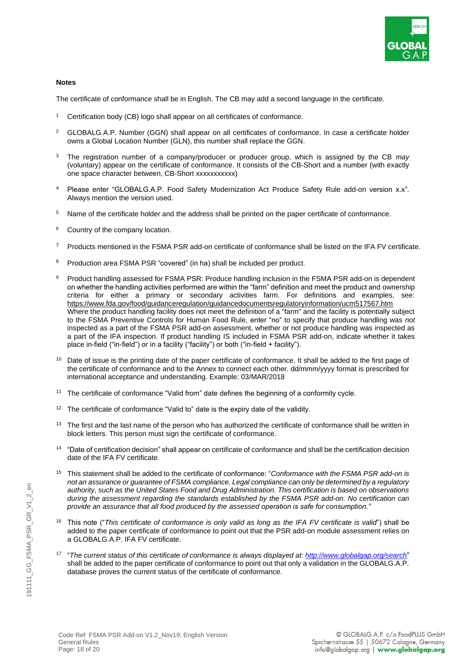

#### **Notes**

The certificate of conformance shall be in English. The CB may add a second language in the certificate.

- <sup>1</sup> Certification body (CB) logo shall appear on all certificates of conformance.
- <sup>2</sup> GLOBALG.A.P. Number (GGN) shall appear on all certificates of conformance. In case a certificate holder owns a Global Location Number (GLN), this number shall replace the GGN.
- <sup>3</sup> The registration number of a company/producer or producer group, which is assigned by the CB *may* (voluntary) appear on the certificate of conformance. It consists of the CB-Short and a number (with exactly one space character between, CB-Short xxxxxxxxxxx)
- <sup>4</sup> Please enter "GLOBALG.A.P. Food Safety Modernization Act Produce Safety Rule add-on version x.x". Always mention the version used.
- Name of the certificate holder and the address shall be printed on the paper certificate of conformance.
- <sup>6</sup> Country of the company location.
- <sup>7</sup> Products mentioned in the FSMA PSR add-on certificate of conformance shall be listed on the IFA FV certificate.
- <sup>8</sup> Production area FSMA PSR "covered" (in ha) shall be included per product.
- Product handling assessed for FSMA PSR: Produce handling inclusion in the FSMA PSR add-on is dependent on whether the handling activities performed are within the "farm" definition and meet the product and ownership criteria for either a primary or secondary activities farm. For definitions and examples, see: <https://www.fda.gov/food/guidanceregulation/guidancedocumentsregulatoryinformation/ucm517567.htm> Where the product handling facility does not meet the definition of a "farm" and the facility is potentially subject to the FSMA Preventive Controls for Human Food Rule, enter "no" to specify that produce handling was *not* inspected as a part of the FSMA PSR add-on assessment, whether or not produce handling was inspected as a part of the IFA inspection. If product handling IS included in FSMA PSR add-on, indicate whether it takes place in-field ("in-field") or in a facility ("facility") or both ("in-field + facility").
- <sup>10</sup> Date of issue is the printing date of the paper certificate of conformance. It shall be added to the first page of the certificate of conformance and to the Annex to connect each other. dd/mmm/yyyy format is prescribed for international acceptance and understanding. Example: 03/MAR/2018
- <sup>11</sup> The certificate of conformance "Valid from" date defines the beginning of a conformity cycle.
- <sup>12</sup> The certificate of conformance "Valid to" date is the expiry date of the validity.
- <sup>13</sup> The first and the last name of the person who has authorized the certificate of conformance shall be written in block letters. This person must sign the certificate of conformance.
- <sup>14</sup> "Date of certification decision" shall appear on certificate of conformance and shall be the certification decision date of the IFA FV certificate.
- <sup>15</sup> This statement shall be added to the certificate of conformance: "*Conformance with the FSMA PSR add-on is not an assurance or guarantee of FSMA compliance. Legal compliance can only be determined by a regulatory authority, such as the United States Food and Drug Administration. This certification is based on observations during the assessment regarding the standards established by the FSMA PSR add-on. No certification can provide an assurance that all food produced by the assessed operation is safe for consumption."*
- <sup>16</sup> This note ("*This certificate of conformance is only valid as long as the IFA FV certificate is valid*") shall be added to the paper certificate of conformance to point out that the PSR add-on module assessment relies on a GLOBALG.A.P. IFA FV certificate.
- 17 "*The current status of this certificate of conformance is always displayed at:<http://www.globalgap.org/search>*" shall be added to the paper certificate of conformance to point out that only a validation in the GLOBALG.A.P. database proves the current status of the certificate of conformance.

 $\epsilon$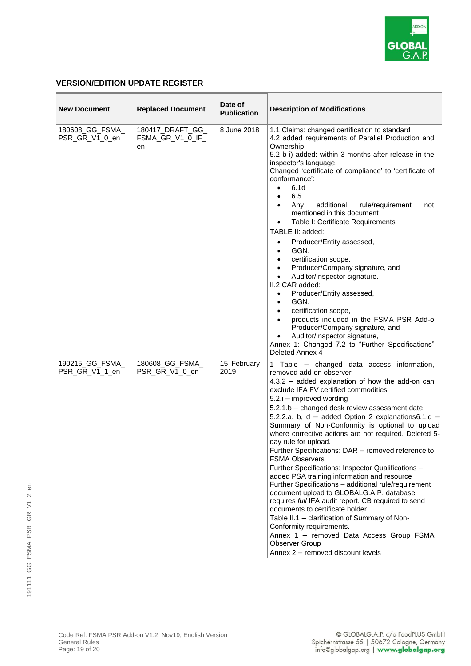

#### **VERSION/EDITION UPDATE REGISTER**

| <b>New Document</b>               | <b>Replaced Document</b>                   | Date of<br><b>Publication</b> | <b>Description of Modifications</b>                                                                                                                                                                                                                                                                                                                                                                                                                                                                                                                                                                                                                                                                                                                                                                                                                                                                                                                                                                        |
|-----------------------------------|--------------------------------------------|-------------------------------|------------------------------------------------------------------------------------------------------------------------------------------------------------------------------------------------------------------------------------------------------------------------------------------------------------------------------------------------------------------------------------------------------------------------------------------------------------------------------------------------------------------------------------------------------------------------------------------------------------------------------------------------------------------------------------------------------------------------------------------------------------------------------------------------------------------------------------------------------------------------------------------------------------------------------------------------------------------------------------------------------------|
| 180608_GG_FSMA_<br>PSR_GR_V1_0_en | 180417_DRAFT_GG_<br>FSMA_GR_V1_0_IF_<br>en | 8 June 2018                   | 1.1 Claims: changed certification to standard<br>4.2 added requirements of Parallel Production and<br>Ownership<br>5.2 b i) added: within 3 months after release in the<br>inspector's language.<br>Changed 'certificate of compliance' to 'certificate of<br>conformance':<br>6.1d<br>$\bullet$<br>6.5<br>$\bullet$<br>Any<br>additional<br>rule/requirement<br>$\bullet$<br>not<br>mentioned in this document<br>Table I: Certificate Requirements<br>TABLE II: added:<br>Producer/Entity assessed,<br>$\bullet$<br>GGN,<br>$\bullet$<br>certification scope,<br>$\bullet$<br>Producer/Company signature, and<br>$\bullet$<br>Auditor/Inspector signature.<br>$\bullet$<br>II.2 CAR added:<br>Producer/Entity assessed,<br>$\bullet$<br>GGN,<br>$\bullet$<br>certification scope,<br>$\bullet$<br>products included in the FSMA PSR Add-o<br>$\bullet$<br>Producer/Company signature, and<br>Auditor/Inspector signature,<br>Annex 1: Changed 7.2 to "Further Specifications"<br>Deleted Annex 4         |
| 190215_GG_FSMA_<br>PSR_GR_V1_1_en | 180608_GG_FSMA_<br>PSR_GR_V1_0_en          | 15 February<br>2019           | 1 Table - changed data access information,<br>removed add-on observer<br>4.3.2 - added explanation of how the add-on can<br>exclude IFA FV certified commodities<br>5.2.i - improved wording<br>5.2.1.b - changed desk review assessment date<br>5.2.2.a, b, d - added Option 2 explanations6.1.d -<br>Summary of Non-Conformity is optional to upload<br>where corrective actions are not required. Deleted 5-<br>day rule for upload.<br>Further Specifications: DAR - removed reference to<br><b>FSMA Observers</b><br>Further Specifications: Inspector Qualifications -<br>added PSA training information and resource<br>Further Specifications - additional rule/requirement<br>document upload to GLOBALG.A.P. database<br>requires full IFA audit report. CB required to send<br>documents to certificate holder.<br>Table II.1 - clarification of Summary of Non-<br>Conformity requirements.<br>Annex 1 - removed Data Access Group FSMA<br>Observer Group<br>Annex 2 - removed discount levels |